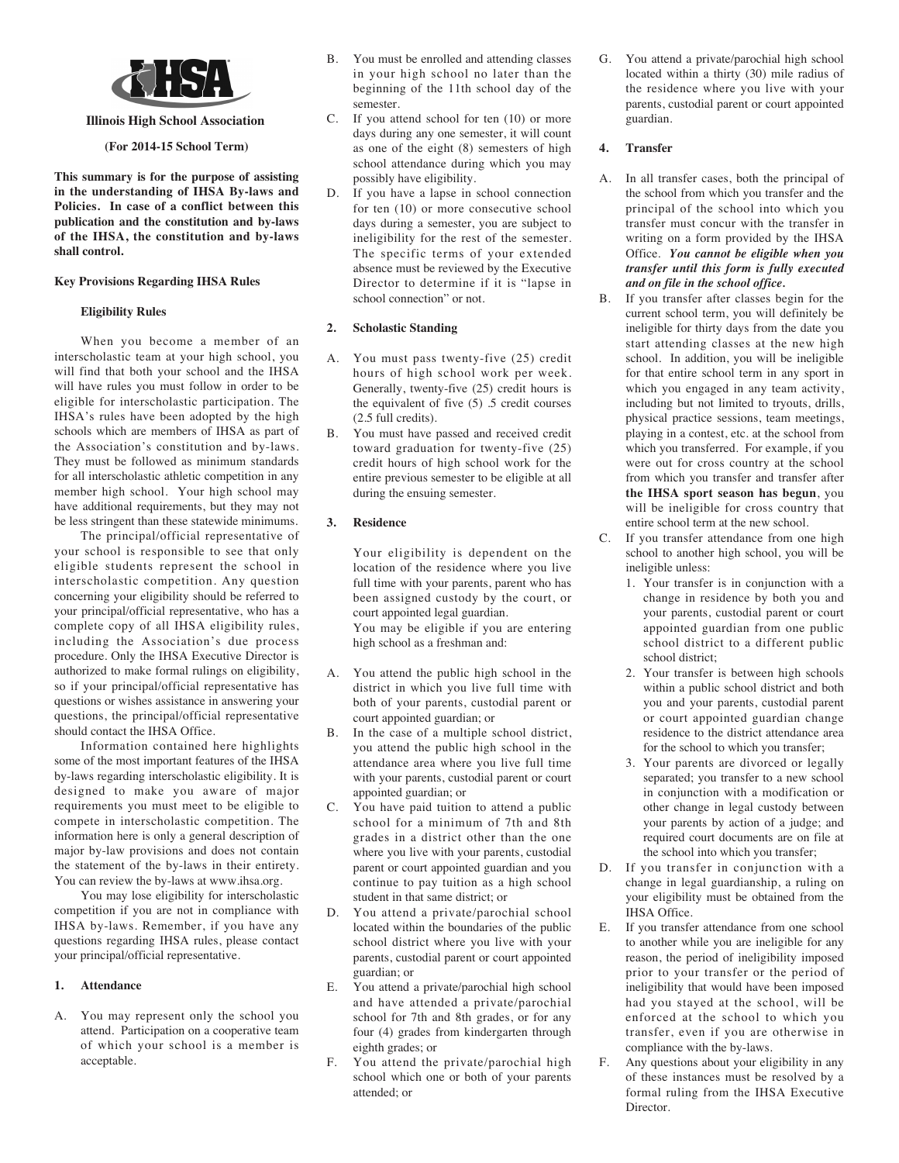

## **Illinois High School Association**

### **(For 2014-15 School Term)**

**This summary is for the purpose of assisting in the understanding of IHSA By-laws and Policies. In case of a conflict between this publication and the constitution and by-laws of the IHSA, the constitution and by-laws shall control.**

## **Key Provisions Regarding IHSA Rules**

### **Eligibility Rules**

When you become a member of an interscholastic team at your high school, you will find that both your school and the IHSA will have rules you must follow in order to be eligible for interscholastic participation. The IHSA's rules have been adopted by the high schools which are members of IHSA as part of the Association's constitution and by-laws. They must be followed as minimum standards for all interscholastic athletic competition in any member high school. Your high school may have additional requirements, but they may not be less stringent than these statewide minimums.

The principal/official representative of your school is responsible to see that only eligible students represent the school in interscholastic competition. Any question concerning your eligibility should be referred to your principal/official representative, who has a complete copy of all IHSA eligibility rules, including the Association's due process procedure. Only the IHSA Executive Director is authorized to make formal rulings on eligibility, so if your principal/official representative has questions or wishes assistance in answering your questions, the principal/official representative should contact the IHSA Office.

Information contained here highlights some of the most important features of the IHSA by-laws regarding interscholastic eligibility. It is designed to make you aware of major requirements you must meet to be eligible to compete in interscholastic competition. The information here is only a general description of major by-law provisions and does not contain the statement of the by-laws in their entirety. You can review the by-laws at www.ihsa.org.

You may lose eligibility for interscholastic competition if you are not in compliance with IHSA by-laws. Remember, if you have any questions regarding IHSA rules, please contact your principal/official representative.

# **1. Attendance**

A. You may represent only the school you attend. Participation on a cooperative team of which your school is a member is acceptable.

- B. You must be enrolled and attending classes in your high school no later than the beginning of the 11th school day of the semester.
- C. If you attend school for ten (10) or more days during any one semester, it will count as one of the eight (8) semesters of high school attendance during which you may possibly have eligibility.
- D. If you have a lapse in school connection for ten (10) or more consecutive school days during a semester, you are subject to ineligibility for the rest of the semester. The specific terms of your extended absence must be reviewed by the Executive Director to determine if it is "lapse in school connection" or not.

# **2. Scholastic Standing**

- A. You must pass twenty-five (25) credit hours of high school work per week. Generally, twenty-five (25) credit hours is the equivalent of five (5) .5 credit courses (2.5 full credits).
- B. You must have passed and received credit toward graduation for twenty-five (25) credit hours of high school work for the entire previous semester to be eligible at all during the ensuing semester.

# **3. Residence**

Your eligibility is dependent on the location of the residence where you live full time with your parents, parent who has been assigned custody by the court, or court appointed legal guardian. You may be eligible if you are entering high school as a freshman and:

- A. You attend the public high school in the district in which you live full time with both of your parents, custodial parent or court appointed guardian; or
- B. In the case of a multiple school district, you attend the public high school in the attendance area where you live full time with your parents, custodial parent or court appointed guardian; or
- C. You have paid tuition to attend a public school for a minimum of 7th and 8th grades in a district other than the one where you live with your parents, custodial parent or court appointed guardian and you continue to pay tuition as a high school student in that same district; or
- D. You attend a private/parochial school located within the boundaries of the public school district where you live with your parents, custodial parent or court appointed guardian; or
- E. You attend a private/parochial high school and have attended a private/parochial school for 7th and 8th grades, or for any four (4) grades from kindergarten through eighth grades; or
- F. You attend the private/parochial high school which one or both of your parents attended; or

G. You attend a private/parochial high school located within a thirty (30) mile radius of the residence where you live with your parents, custodial parent or court appointed guardian.

# **4. Transfer**

- A. In all transfer cases, both the principal of the school from which you transfer and the principal of the school into which you transfer must concur with the transfer in writing on a form provided by the IHSA Office. *You cannot be eligible when you transfer until this form is fully executed and on file in the school office.*
- B. If you transfer after classes begin for the current school term, you will definitely be ineligible for thirty days from the date you start attending classes at the new high school. In addition, you will be ineligible for that entire school term in any sport in which you engaged in any team activity, including but not limited to tryouts, drills, physical practice sessions, team meetings, playing in a contest, etc. at the school from which you transferred. For example, if you were out for cross country at the school from which you transfer and transfer after **the IHSA sport season has begun**, you will be ineligible for cross country that entire school term at the new school.
- C. If you transfer attendance from one high school to another high school, you will be ineligible unless:
	- 1. Your transfer is in conjunction with a change in residence by both you and your parents, custodial parent or court appointed guardian from one public school district to a different public school district;
	- 2. Your transfer is between high schools within a public school district and both you and your parents, custodial parent or court appointed guardian change residence to the district attendance area for the school to which you transfer;
	- 3. Your parents are divorced or legally separated; you transfer to a new school in conjunction with a modification or other change in legal custody between your parents by action of a judge; and required court documents are on file at the school into which you transfer;
- D. If you transfer in conjunction with a change in legal guardianship, a ruling on your eligibility must be obtained from the IHSA Office.
- E. If you transfer attendance from one school to another while you are ineligible for any reason, the period of ineligibility imposed prior to your transfer or the period of ineligibility that would have been imposed had you stayed at the school, will be enforced at the school to which you transfer, even if you are otherwise in compliance with the by-laws.
- F. Any questions about your eligibility in any of these instances must be resolved by a formal ruling from the IHSA Executive Director.